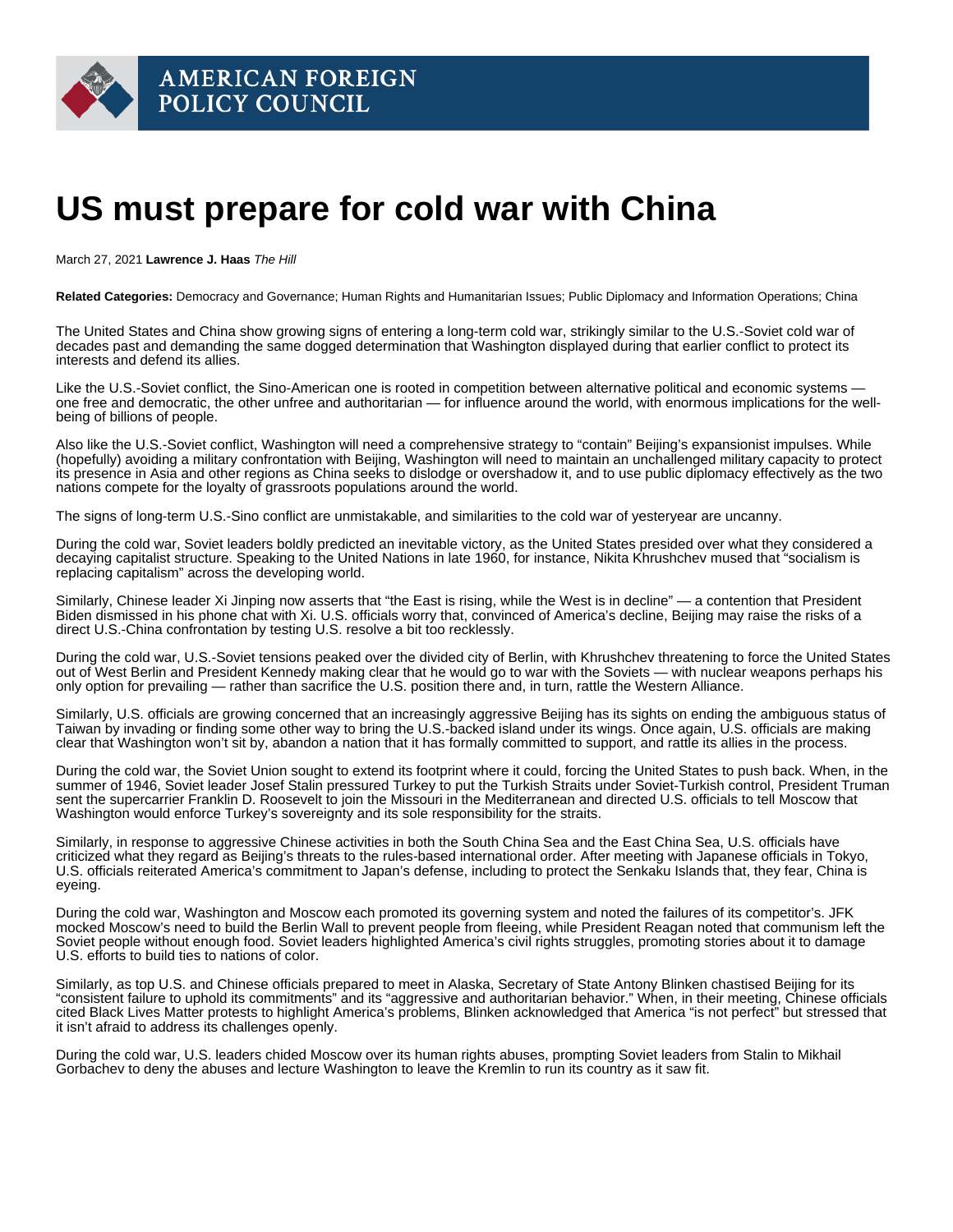## US must prepare for cold war with China

March 27, 2021 Lawrence J. Haas The Hill

Related Categories: Democracy and Governance; Human Rights and Humanitarian Issues; Public Diplomacy and Information Operations; China

The United States and China show growing signs of entering a long-term cold war, strikingly similar to the U.S.-Soviet cold war of decades past and demanding the same dogged determination that Washington displayed during that earlier conflict to protect its interests and defend its allies.

Like the U.S.-Soviet conflict, the Sino-American one is rooted in competition between alternative political and economic systems one free and democratic, the other unfree and authoritarian — for influence around the world, with enormous implications for the wellbeing of billions of people.

Also like the U.S.-Soviet conflict, Washington will need a comprehensive strategy to "contain" Beijing's expansionist impulses. While (hopefully) avoiding a military confrontation with Beijing, Washington will need to maintain an unchallenged military capacity to protect its presence in Asia and other regions as China seeks to dislodge or overshadow it, and to use public diplomacy effectively as the two nations compete for the loyalty of grassroots populations around the world.

The signs of long-term U.S.-Sino conflict are unmistakable, and similarities to the cold war of yesteryear are uncanny.

During the cold war, Soviet leaders boldly predicted an inevitable victory, as the United States presided over what they considered a decaying capitalist structure. Speaking to the United Nations in late 1960, for instance, Nikita Khrushchev [mused](https://digitalarchive.wilsoncenter.org/document/155185.pdf?v=9f7ac7df82c2cf1162b9f845c67ef067) that "socialism is replacing capitalism" across the developing world.

Similarly, Chinese leader Xi Jinping now [asserts](https://www.washingtonpost.com/opinions/global-opinions/the-biden-team-began-exactly-the-reset-we-need-on-china/2021/03/22/f09cfbfe-8b27-11eb-a6bd-0eb91c03305a_story.html) that "the East is rising, while the West is in decline" — a contention that President Biden dismissed in his phone chat with Xi. U.S. officials worry that, convinced of America's decline, Beijing may raise the risks of a direct U.S.-China confrontation by testing U.S. resolve a bit too recklessly.

During the cold war, U.S.-Soviet tensions peaked over the divided city of Berlin, with Khrushchev threatening to force the United States out of West Berlin and President Kennedy making clear that he would go to war with the Soviets — with nuclear weapons perhaps his only option for prevailing — rather than sacrifice the U.S. position there and, in turn, rattle the Western Alliance.

Similarly, U.S. officials are growing concerned that an increasingly aggressive Beijing has its sights on ending the ambiguous status of Taiwan by invading or finding some other way to bring the U.S.-backed island under its wings. Once again, U.S. officials are [making](https://www.washingtonpost.com/opinions/global-opinions/china-is-convinced-america-is-in-decline-biden-has-a-chance-to-change-that/2021/03/22/675c4cfc-8b48-11eb-a730-1b4ed9656258_story.html)  [clear](https://www.washingtonpost.com/opinions/global-opinions/china-is-convinced-america-is-in-decline-biden-has-a-chance-to-change-that/2021/03/22/675c4cfc-8b48-11eb-a730-1b4ed9656258_story.html) that Washington won't sit by, abandon a nation that it has formally committed to support, and rattle its allies in the process.

During the cold war, the Soviet Union sought to extend its footprint where it could, forcing the United States to push back. When, in the summer of 1946, Soviet leader Josef Stalin pressured Turkey to put the Turkish Straits under Soviet-Turkish control, President Truman sent the supercarrier Franklin D. Roosevelt to join the Missouri in the Mediterranean and directed U.S. officials to tell Moscow that Washington would enforce Turkey's sovereignty and its sole responsibility for the straits.

Similarly, in response to aggressive Chinese activities in both the South China Sea and the East China Sea, U.S. officials have criticized what they regard as Beijing's threats to the rules-based international order. After meeting with Japanese officials in Tokyo, U.S. officials [reiterated](https://www.state.gov/u-s-japan-joint-press-statement/) America's commitment to Japan's defense, including to protect the Senkaku Islands that, they fear, China is eyeing.

During the cold war, Washington and Moscow each promoted its governing system and noted the failures of its competitor's. JFK [mocked](https://www.youtube.com/watch?v=56V6r2dpYH8) Moscow's need to build the Berlin Wall to prevent people from fleeing, while President Reagan [noted](https://www.youtube.com/watch?v=5MDFX-dNtsM) that communism left the Soviet people without enough food. Soviet leaders highlighted America's civil rights struggles, promoting stories about it to damage U.S. efforts to build ties to nations of color.

Similarly, as top U.S. and Chinese officials prepared to meet in Alaska, Secretary of State Antony Blinken [chastised](https://www.washingtonpost.com/national-security/china-us-talks-anchorage-alaska/2021/03/18/ae2abcfa-880e-11eb-8a67-f314e5fcf88d_story.html) Beijing for its "consistent failure to uphold its commitments" and its "aggressive and authoritarian behavior." When, in their meeting, Chinese officials cited Black Lives Matter protests to highlight America's problems, Blinken acknowledged that America "is not perfect" but stressed that it isn't afraid to address its challenges openly.

During the cold war, U.S. leaders chided Moscow over its human rights abuses, prompting Soviet leaders from Stalin to Mikhail Gorbachev to deny the abuses and lecture Washington to leave the Kremlin to run its country as it saw fit.